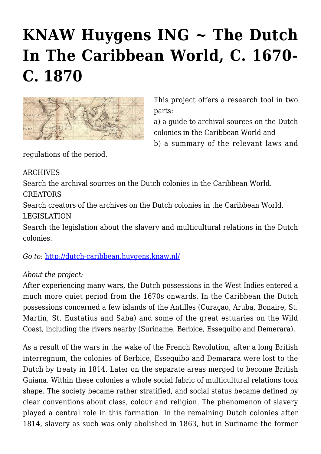## **[KNAW Huygens ING ~ The Dutch](https://rozenbergquarterly.com/knaw-huygens-ing-the-dutch-in-the-caribbean-world-c-1670-c-1870/) [In The Caribbean World, C. 1670-](https://rozenbergquarterly.com/knaw-huygens-ing-the-dutch-in-the-caribbean-world-c-1670-c-1870/) [C. 1870](https://rozenbergquarterly.com/knaw-huygens-ing-the-dutch-in-the-caribbean-world-c-1670-c-1870/)**



This project offers a research tool in two parts:

a) a guide to archival sources on the Dutch colonies in the Caribbean World and b) a summary of the relevant laws and

regulations of the period.

ARCHIVES

Search the archival sources on the Dutch colonies in the Caribbean World.

CREATORS

Search creators of the archives on the Dutch colonies in the Caribbean World.

## LEGISLATION

Search the legislation about the slavery and multicultural relations in the Dutch colonies.

*Go to*: <http://dutch-caribbean.huygens.knaw.nl/>

## *About the project:*

After experiencing many wars, the Dutch possessions in the West Indies entered a much more quiet period from the 1670s onwards. In the Caribbean the Dutch possessions concerned a few islands of the Antilles (Curaçao, Aruba, Bonaire, St. Martin, St. Eustatius and Saba) and some of the great estuaries on the Wild Coast, including the rivers nearby (Suriname, Berbice, Essequibo and Demerara).

As a result of the wars in the wake of the French Revolution, after a long British interregnum, the colonies of Berbice, Essequibo and Demarara were lost to the Dutch by treaty in 1814. Later on the separate areas merged to become British Guiana. Within these colonies a whole social fabric of multicultural relations took shape. The society became rather stratified, and social status became defined by clear conventions about class, colour and religion. The phenomenon of slavery played a central role in this formation. In the remaining Dutch colonies after 1814, slavery as such was only abolished in 1863, but in Suriname the former